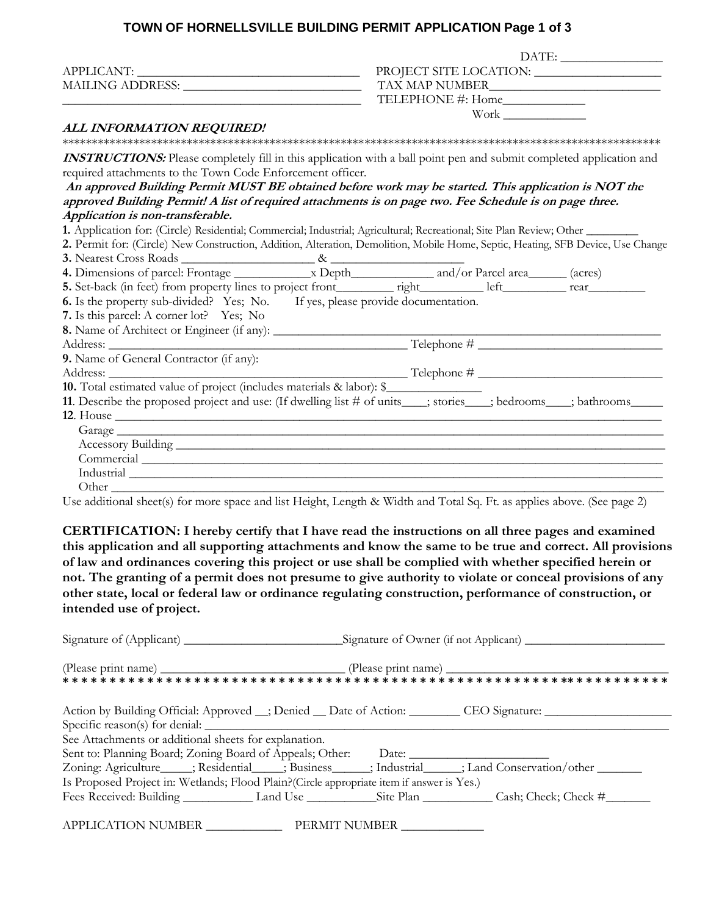### **TOWN OF HORNELLSVILLE BUILDING PERMIT APPLICATION Page 1 of 3**

|                                                                                                                                                                                                                               |  | $\begin{tabular}{c} \bf{DATE:} \end{tabular}$ |                                                                                                                                                                                                                                                                                                                                                                                                                                                                                           |  |  |
|-------------------------------------------------------------------------------------------------------------------------------------------------------------------------------------------------------------------------------|--|-----------------------------------------------|-------------------------------------------------------------------------------------------------------------------------------------------------------------------------------------------------------------------------------------------------------------------------------------------------------------------------------------------------------------------------------------------------------------------------------------------------------------------------------------------|--|--|
|                                                                                                                                                                                                                               |  |                                               |                                                                                                                                                                                                                                                                                                                                                                                                                                                                                           |  |  |
|                                                                                                                                                                                                                               |  |                                               |                                                                                                                                                                                                                                                                                                                                                                                                                                                                                           |  |  |
| <u> 1989 - Jan Stein Stein, fransk politiker (d. 1989)</u>                                                                                                                                                                    |  |                                               | TELEPHONE #: Home______________                                                                                                                                                                                                                                                                                                                                                                                                                                                           |  |  |
|                                                                                                                                                                                                                               |  |                                               | $\label{thm:work} \begin{minipage}{.4\linewidth} \begin{tabular}{c} \hline \multicolumn{3}{c}{} & \multicolumn{3}{c}{} \multicolumn{3}{c}{} \multicolumn{3}{c}{} \multicolumn{3}{c}{} \multicolumn{3}{c}{} \multicolumn{3}{c}{} \multicolumn{3}{c}{} \multicolumn{3}{c}{} \multicolumn{3}{c}{} \multicolumn{3}{c}{} \multicolumn{3}{c}{} \multicolumn{3}{c}{} \multicolumn{3}{c}{} \multicolumn{3}{c}{} \multicolumn{3}{c}{} \multicolumn{3}{c}{} \multicolumn{3}{c}{} \multicolumn{3}{c$ |  |  |
| ALL INFORMATION REQUIRED!                                                                                                                                                                                                     |  |                                               |                                                                                                                                                                                                                                                                                                                                                                                                                                                                                           |  |  |
|                                                                                                                                                                                                                               |  |                                               |                                                                                                                                                                                                                                                                                                                                                                                                                                                                                           |  |  |
| <b>INSTRUCTIONS:</b> Please completely fill in this application with a ball point pen and submit completed application and                                                                                                    |  |                                               |                                                                                                                                                                                                                                                                                                                                                                                                                                                                                           |  |  |
| required attachments to the Town Code Enforcement officer.                                                                                                                                                                    |  |                                               |                                                                                                                                                                                                                                                                                                                                                                                                                                                                                           |  |  |
| An approved Building Permit MUST BE obtained before work may be started. This application is NOT the                                                                                                                          |  |                                               |                                                                                                                                                                                                                                                                                                                                                                                                                                                                                           |  |  |
| approved Building Permit! A list of required attachments is on page two. Fee Schedule is on page three.                                                                                                                       |  |                                               |                                                                                                                                                                                                                                                                                                                                                                                                                                                                                           |  |  |
| Application is non-transferable.                                                                                                                                                                                              |  |                                               |                                                                                                                                                                                                                                                                                                                                                                                                                                                                                           |  |  |
| 1. Application for: (Circle) Residential; Commercial; Industrial; Agricultural; Recreational; Site Plan Review; Other                                                                                                         |  |                                               |                                                                                                                                                                                                                                                                                                                                                                                                                                                                                           |  |  |
| 2. Permit for: (Circle) New Construction, Addition, Alteration, Demolition, Mobile Home, Septic, Heating, SFB Device, Use Change                                                                                              |  |                                               |                                                                                                                                                                                                                                                                                                                                                                                                                                                                                           |  |  |
|                                                                                                                                                                                                                               |  |                                               |                                                                                                                                                                                                                                                                                                                                                                                                                                                                                           |  |  |
|                                                                                                                                                                                                                               |  |                                               |                                                                                                                                                                                                                                                                                                                                                                                                                                                                                           |  |  |
|                                                                                                                                                                                                                               |  |                                               |                                                                                                                                                                                                                                                                                                                                                                                                                                                                                           |  |  |
| <b>6.</b> Is the property sub-divided? Yes; No. If yes, please provide documentation.                                                                                                                                         |  |                                               |                                                                                                                                                                                                                                                                                                                                                                                                                                                                                           |  |  |
| 7. Is this parcel: A corner lot? Yes; No                                                                                                                                                                                      |  |                                               |                                                                                                                                                                                                                                                                                                                                                                                                                                                                                           |  |  |
|                                                                                                                                                                                                                               |  |                                               |                                                                                                                                                                                                                                                                                                                                                                                                                                                                                           |  |  |
|                                                                                                                                                                                                                               |  |                                               |                                                                                                                                                                                                                                                                                                                                                                                                                                                                                           |  |  |
| 9. Name of General Contractor (if any):                                                                                                                                                                                       |  |                                               |                                                                                                                                                                                                                                                                                                                                                                                                                                                                                           |  |  |
|                                                                                                                                                                                                                               |  |                                               |                                                                                                                                                                                                                                                                                                                                                                                                                                                                                           |  |  |
|                                                                                                                                                                                                                               |  |                                               |                                                                                                                                                                                                                                                                                                                                                                                                                                                                                           |  |  |
|                                                                                                                                                                                                                               |  |                                               |                                                                                                                                                                                                                                                                                                                                                                                                                                                                                           |  |  |
|                                                                                                                                                                                                                               |  |                                               |                                                                                                                                                                                                                                                                                                                                                                                                                                                                                           |  |  |
| Garage entry and the contract of the contract of the contract of the contract of the contract of the contract of the contract of the contract of the contract of the contract of the contract of the contract of the contract |  |                                               |                                                                                                                                                                                                                                                                                                                                                                                                                                                                                           |  |  |
|                                                                                                                                                                                                                               |  |                                               |                                                                                                                                                                                                                                                                                                                                                                                                                                                                                           |  |  |
|                                                                                                                                                                                                                               |  |                                               |                                                                                                                                                                                                                                                                                                                                                                                                                                                                                           |  |  |
|                                                                                                                                                                                                                               |  |                                               |                                                                                                                                                                                                                                                                                                                                                                                                                                                                                           |  |  |
|                                                                                                                                                                                                                               |  |                                               |                                                                                                                                                                                                                                                                                                                                                                                                                                                                                           |  |  |

Use additional sheet(s) for more space and list Height, Length & Width and Total Sq. Ft. as applies above. (See page 2)

CERTIFICATION: I hereby certify that I have read the instructions on all three pages and examined this application and all supporting attachments and know the same to be true and correct. All provisions of law and ordinances covering this project or use shall be complied with whether specified herein or not. The granting of a permit does not presume to give authority to violate or conceal provisions of any other state, local or federal law or ordinance regulating construction, performance of construction, or intended use of project.

|                                                                                            |  |  | Action by Building Official: Approved _; Denied _ Date of Action: _________CEO Signature: ____________________ |  |  |  |
|--------------------------------------------------------------------------------------------|--|--|----------------------------------------------------------------------------------------------------------------|--|--|--|
|                                                                                            |  |  |                                                                                                                |  |  |  |
| See Attachments or additional sheets for explanation.                                      |  |  |                                                                                                                |  |  |  |
| Sent to: Planning Board; Zoning Board of Appeals; Other: Date: __________________          |  |  |                                                                                                                |  |  |  |
|                                                                                            |  |  | Zoning: Agriculture_____; Residential_____; Business______; Industrial______; Land Conservation/other _______  |  |  |  |
| Is Proposed Project in: Wetlands; Flood Plain? (Circle appropriate item if answer is Yes.) |  |  |                                                                                                                |  |  |  |
|                                                                                            |  |  |                                                                                                                |  |  |  |
|                                                                                            |  |  |                                                                                                                |  |  |  |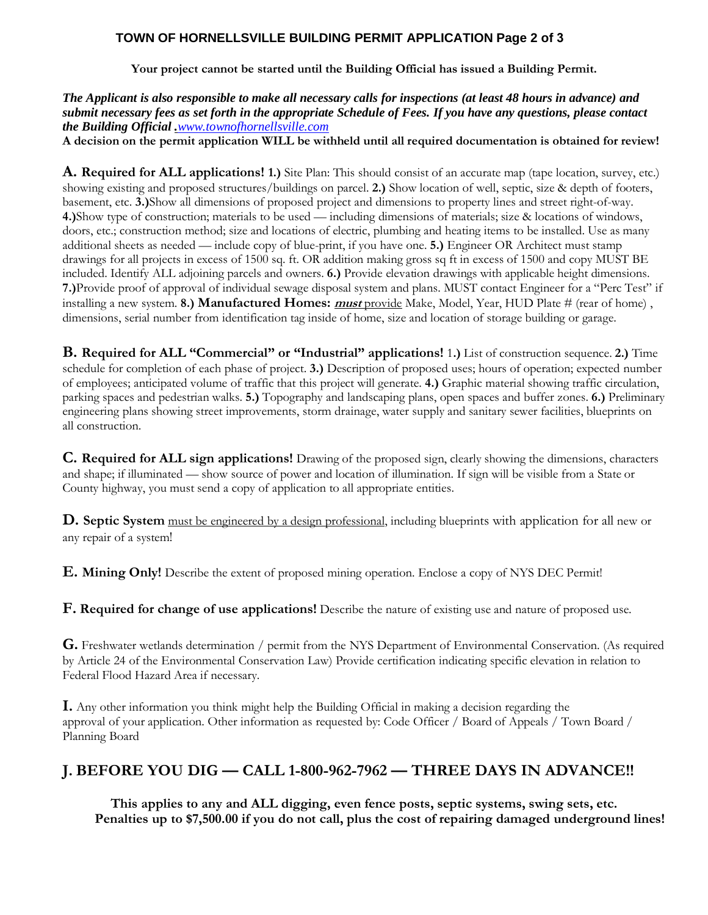## **TOWN OF HORNELLSVILLE BUILDING PERMIT APPLICATION Page 2 of 3**

Your project cannot be started until the Building Official has issued a Building Permit.

### *The Applicant is also responsible to make all necessary calls for inspections (at least 48 hours in advance) and submit necessary fees as set forth in the appropriate Schedule of Fees. If you have any questions, please contact the Building Official .www.townofhornellsville.com*

A decision on the permit application WILL be withheld until all required documentation is obtained for review!

A. Required for ALL applications! 1.) Site Plan: This should consist of an accurate map (tape location, survey, etc.) showing existing and proposed structures/buildings on parcel. 2.) Show location of well, septic, size & depth of footers, basement, etc. 3.)Show all dimensions of proposed project and dimensions to property lines and street right-of-way. 4.)Show type of construction; materials to be used — including dimensions of materials; size & locations of windows, doors, etc.; construction method; size and locations of electric, plumbing and heating items to be installed. Use as many additional sheets as needed — include copy of blue-print, if you have one. 5.) Engineer OR Architect must stamp drawings for all projects in excess of 1500 sq. ft. OR addition making gross sq ft in excess of 1500 and copy MUST BE included. Identify ALL adjoining parcels and owners. 6.) Provide elevation drawings with applicable height dimensions. 7.)Provide proof of approval of individual sewage disposal system and plans. MUST contact Engineer for a "Perc Test" if installing a new system. 8.) Manufactured Homes: *must* provide Make, Model, Year, HUD Plate # (rear of home), dimensions, serial number from identification tag inside of home, size and location of storage building or garage.

B. Required for ALL "Commercial" or "Industrial" applications! 1.) List of construction sequence. 2.) Time schedule for completion of each phase of project. 3.) Description of proposed uses; hours of operation; expected number of employees; anticipated volume of traffic that this project will generate. 4.) Graphic material showing traffic circulation, parking spaces and pedestrian walks. 5.) Topography and landscaping plans, open spaces and buffer zones. 6.) Preliminary engineering plans showing street improvements, storm drainage, water supply and sanitary sewer facilities, blueprints on all construction.

C. Required for ALL sign applications! Drawing of the proposed sign, clearly showing the dimensions, characters and shape; if illuminated — show source of power and location of illumination. If sign will be visible from a State or County highway, you must send a copy of application to all appropriate entities.

**D.** Septic System must be engineered by a design professional, including blueprints with application for all new or any repair of a system!

**E. Mining Only!** Describe the extent of proposed mining operation. Enclose a copy of NYS DEC Permit!

F. Required for change of use applications! Describe the nature of existing use and nature of proposed use.

G. Freshwater wetlands determination / permit from the NYS Department of Environmental Conservation. (As required by Article 24 of the Environmental Conservation Law) Provide certification indicating specific elevation in relation to Federal Flood Hazard Area if necessary.

I. Any other information you think might help the Building Official in making a decision regarding the approval of your application. Other information as requested by: Code Officer / Board of Appeals / Town Board / Planning Board

# J. BEFORE YOU DIG — CALL 1-800-962-7962 — THREE DAYS IN ADVANCE!!

This applies to any and ALL digging, even fence posts, septic systems, swing sets, etc. Penalties up to \$7,500.00 if you do not call, plus the cost of repairing damaged underground lines!